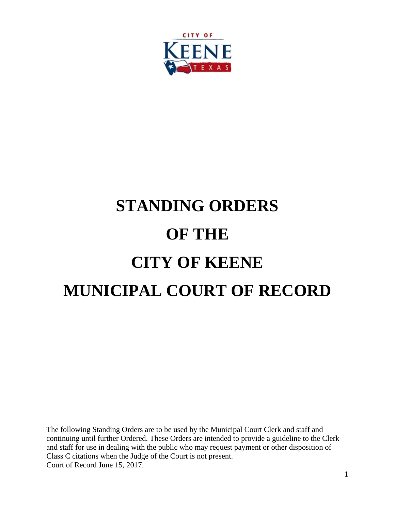

# **STANDING ORDERS OF THE CITY OF KEENE MUNICIPAL COURT OF RECORD**

The following Standing Orders are to be used by the Municipal Court Clerk and staff and continuing until further Ordered. These Orders are intended to provide a guideline to the Clerk and staff for use in dealing with the public who may request payment or other disposition of Class C citations when the Judge of the Court is not present. Court of Record June 15, 2017.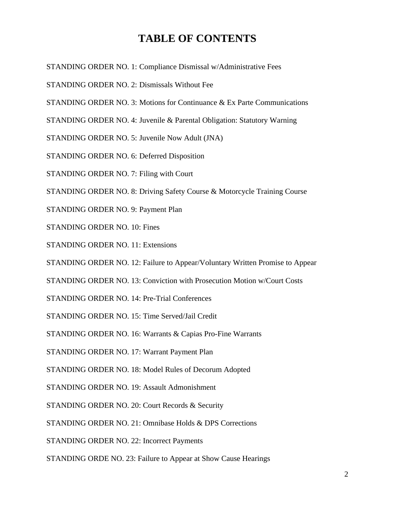# **TABLE OF CONTENTS**

- STANDING ORDER NO. 1: Compliance Dismissal w/Administrative Fees
- STANDING ORDER NO. 2: Dismissals Without Fee
- STANDING ORDER NO. 3: Motions for Continuance & Ex Parte Communications
- STANDING ORDER NO. 4: Juvenile & Parental Obligation: Statutory Warning
- STANDING ORDER NO. 5: Juvenile Now Adult (JNA)
- STANDING ORDER NO. 6: Deferred Disposition
- STANDING ORDER NO. 7: Filing with Court
- STANDING ORDER NO. 8: Driving Safety Course & Motorcycle Training Course
- STANDING ORDER NO. 9: Payment Plan
- STANDING ORDER NO. 10: Fines
- STANDING ORDER NO. 11: Extensions
- STANDING ORDER NO. 12: Failure to Appear/Voluntary Written Promise to Appear
- STANDING ORDER NO. 13: Conviction with Prosecution Motion w/Court Costs
- STANDING ORDER NO. 14: Pre-Trial Conferences
- STANDING ORDER NO. 15: Time Served/Jail Credit
- STANDING ORDER NO. 16: Warrants & Capias Pro-Fine Warrants
- STANDING ORDER NO. 17: Warrant Payment Plan
- STANDING ORDER NO. 18: Model Rules of Decorum Adopted
- STANDING ORDER NO. 19: Assault Admonishment
- STANDING ORDER NO. 20: Court Records & Security
- STANDING ORDER NO. 21: Omnibase Holds & DPS Corrections
- STANDING ORDER NO. 22: Incorrect Payments
- STANDING ORDE NO. 23: Failure to Appear at Show Cause Hearings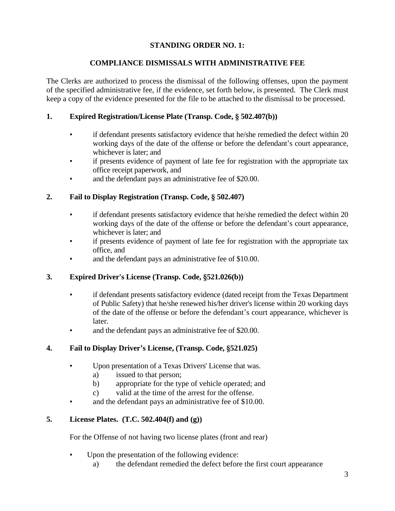## **STANDING ORDER NO. 1:**

## **COMPLIANCE DISMISSALS WITH ADMINISTRATIVE FEE**

The Clerks are authorized to process the dismissal of the following offenses, upon the payment of the specified administrative fee, if the evidence, set forth below, is presented. The Clerk must keep a copy of the evidence presented for the file to be attached to the dismissal to be processed.

## **1. Expired Registration/License Plate (Transp. Code, § 502.407(b))**

- if defendant presents satisfactory evidence that he/she remedied the defect within 20 working days of the date of the offense or before the defendant's court appearance, whichever is later; and
- if presents evidence of payment of late fee for registration with the appropriate tax office receipt paperwork, and
- and the defendant pays an administrative fee of \$20.00.

## **2. Fail to Display Registration (Transp. Code, § 502.407)**

- if defendant presents satisfactory evidence that he/she remedied the defect within 20 working days of the date of the offense or before the defendant's court appearance, whichever is later; and
- if presents evidence of payment of late fee for registration with the appropriate tax office, and
- and the defendant pays an administrative fee of \$10.00.

## **3. Expired Driver's License (Transp. Code, §521.026(b))**

- if defendant presents satisfactory evidence (dated receipt from the Texas Department of Public Safety) that he/she renewed his/her driver's license within 20 working days of the date of the offense or before the defendant's court appearance, whichever is later.
- and the defendant pays an administrative fee of \$20.00.

## **4. Fail to Display Driver's License, (Transp. Code, §521.025)**

- Upon presentation of a Texas Drivers' License that was.
	- a) issued to that person;
	- b) appropriate for the type of vehicle operated; and
	- c) valid at the time of the arrest for the offense.
- and the defendant pays an administrative fee of \$10.00.

## **5. License Plates. (T.C. 502.404(f) and (g))**

For the Offense of not having two license plates (front and rear)

- Upon the presentation of the following evidence:
	- a) the defendant remedied the defect before the first court appearance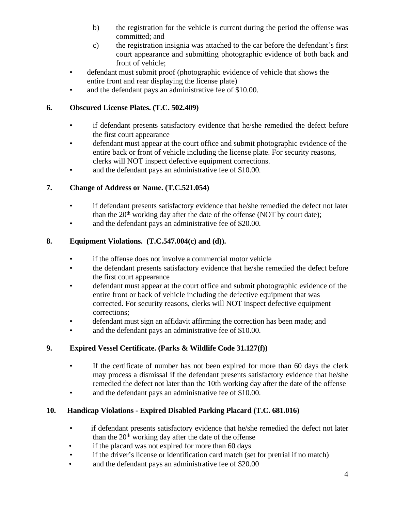- b) the registration for the vehicle is current during the period the offense was committed; and
- c) the registration insignia was attached to the car before the defendant's first court appearance and submitting photographic evidence of both back and front of vehicle;
- defendant must submit proof (photographic evidence of vehicle that shows the entire front and rear displaying the license plate)
- and the defendant pays an administrative fee of \$10.00.

## **6. Obscured License Plates. (T.C. 502.409)**

- if defendant presents satisfactory evidence that he/she remedied the defect before the first court appearance
- defendant must appear at the court office and submit photographic evidence of the entire back or front of vehicle including the license plate. For security reasons, clerks will NOT inspect defective equipment corrections.
- and the defendant pays an administrative fee of \$10.00.

## **7. Change of Address or Name. (T.C.521.054)**

- if defendant presents satisfactory evidence that he/she remedied the defect not later than the 20<sup>th</sup> working day after the date of the offense (NOT by court date);
- and the defendant pays an administrative fee of \$20.00.

## **8. Equipment Violations. (T.C.547.004(c) and (d)).**

- if the offense does not involve a commercial motor vehicle
- the defendant presents satisfactory evidence that he/she remedied the defect before the first court appearance
- defendant must appear at the court office and submit photographic evidence of the entire front or back of vehicle including the defective equipment that was corrected. For security reasons, clerks will NOT inspect defective equipment corrections;
- defendant must sign an affidavit affirming the correction has been made; and
- and the defendant pays an administrative fee of \$10.00.

## **9. Expired Vessel Certificate. (Parks & Wildlife Code 31.127(f))**

- If the certificate of number has not been expired for more than 60 days the clerk may process a dismissal if the defendant presents satisfactory evidence that he/she remedied the defect not later than the 10th working day after the date of the offense
- and the defendant pays an administrative fee of \$10.00.

## **10. Handicap Violations - Expired Disabled Parking Placard (T.C. 681.016)**

- if defendant presents satisfactory evidence that he/she remedied the defect not later than the 20<sup>th</sup> working day after the date of the offense
- if the placard was not expired for more than 60 days
- if the driver's license or identification card match (set for pretrial if no match)
- and the defendant pays an administrative fee of \$20.00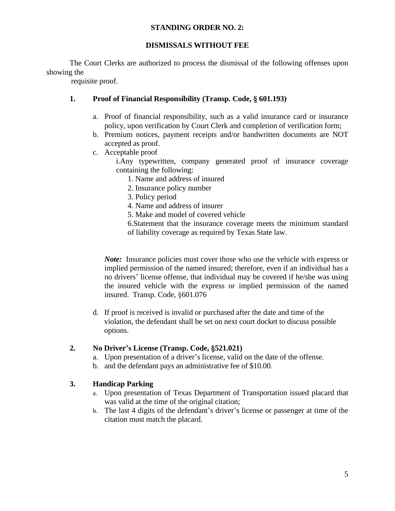#### **STANDING ORDER NO. 2:**

## **DISMISSALS WITHOUT FEE**

The Court Clerks are authorized to process the dismissal of the following offenses upon showing the

requisite proof.

## **1. Proof of Financial Responsibility (Transp. Code, § 601.193)**

- a. Proof of financial responsibility, such as a valid insurance card or insurance policy, upon verification by Court Clerk and completion of verification form;
- b. Premium notices, payment receipts and/or handwritten documents are NOT accepted as proof.
- c. Acceptable proof

i.Any typewritten, company generated proof of insurance coverage containing the following:

- 1. Name and address of insured
- 2. Insurance policy number
- 3. Policy period
- 4. Name and address of insurer
- 5. Make and model of covered vehicle

6.Statement that the insurance coverage meets the minimum standard of liability coverage as required by Texas State law.

*Note:* Insurance policies must cover those who use the vehicle with express or implied permission of the named insured; therefore, even if an individual has a no drivers' license offense, that individual may be covered if he/she was using the insured vehicle with the express or implied permission of the named insured. Transp. Code, §601.076

d. If proof is received is invalid or purchased after the date and time of the violation, the defendant shall be set on next court docket to discuss possible options.

## **2. No Driver's License (Transp. Code, §521.021)**

- a. Upon presentation of a driver's license, valid on the date of the offense.
- b. and the defendant pays an administrative fee of \$10.00.

## **3. Handicap Parking**

- a. Upon presentation of Texas Department of Transportation issued placard that was valid at the time of the original citation;
- b. The last 4 digits of the defendant's driver's license or passenger at time of the citation must match the placard.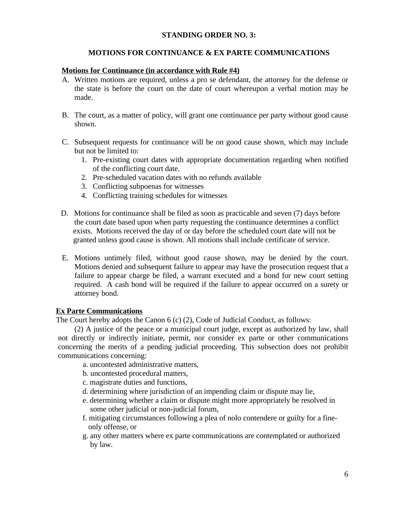## **STANDING ORDER NO. 3:**

## **MOTIONS FOR CONTINUANCE & EX PARTE COMMUNICATIONS**

#### **Motions for Continuance (in accordance with Rule #4)**

- A. Written motions are required, unless a pro se defendant, the attorney for the defense or the state is before the court on the date of court whereupon a verbal motion may be made.
- B. The court, as a matter of policy, will grant one continuance per party without good cause shown.
- C. Subsequent requests for continuance will be on good cause shown, which may include but not be limited to:
	- 1. Pre-existing court dates with appropriate documentation regarding when notified of the conflicting court date.
	- 2. Pre-scheduled vacation dates with no refunds available
	- 3. Conflicting subpoenas for witnesses
	- 4. Conflicting training schedules for witnesses
- D. Motions for continuance shall be filed as soon as practicable and seven (7) days before the court date based upon when party requesting the continuance determines a conflict exists. Motions received the day of or day before the scheduled court date will not be granted unless good cause is shown. All motions shall include certificate of service.
- E. Motions untimely filed, without good cause shown, may be denied by the court. Motions denied and subsequent failure to appear may have the prosecution request that a failure to appear charge be filed, a warrant executed and a bond for new court setting required. A cash bond will be required if the failure to appear occurred on a surety or attorney bond.

#### **Ex Parte Communications**

The Court hereby adopts the Canon 6 (c) (2), Code of Judicial Conduct, as follows:

(2) A justice of the peace or a municipal court judge, except as authorized by law, shall not directly or indirectly initiate, permit, nor consider ex parte or other communications concerning the merits of a pending judicial proceeding. This subsection does not prohibit communications concerning:

- a. uncontested administrative matters,
- b. uncontested procedural matters,
- c. magistrate duties and functions,
- d. determining where jurisdiction of an impending claim or dispute may lie,
- e. determining whether a claim or dispute might more appropriately be resolved in some other judicial or non-judicial forum,
- f. mitigating circumstances following a plea of nolo contendere or guilty for a fineonly offense, or
- g. any other matters where ex parte communications are contemplated or authorized by law.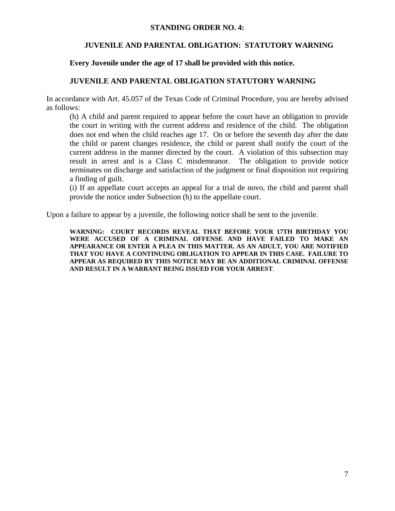#### **STANDING ORDER NO. 4:**

## **JUVENILE AND PARENTAL OBLIGATION: STATUTORY WARNING**

## **Every Juvenile under the age of 17 shall be provided with this notice.**

## **JUVENILE AND PARENTAL OBLIGATION STATUTORY WARNING**

In accordance with Art. 45.057 of the Texas Code of Criminal Procedure, you are hereby advised as follows:

(h) A child and parent required to appear before the court have an obligation to provide the court in writing with the current address and residence of the child. The obligation does not end when the child reaches age 17. On or before the seventh day after the date the child or parent changes residence, the child or parent shall notify the court of the current address in the manner directed by the court. A violation of this subsection may result in arrest and is a Class C misdemeanor. The obligation to provide notice terminates on discharge and satisfaction of the judgment or final disposition not requiring a finding of guilt.

(i) If an appellate court accepts an appeal for a trial de novo, the child and parent shall provide the notice under Subsection (h) to the appellate court.

Upon a failure to appear by a juvenile, the following notice shall be sent to the juvenile.

**WARNING: COURT RECORDS REVEAL THAT BEFORE YOUR 17TH BIRTHDAY YOU WERE ACCUSED OF A CRIMINAL OFFENSE AND HAVE FAILED TO MAKE AN APPEARANCE OR ENTER A PLEA IN THIS MATTER. AS AN ADULT, YOU ARE NOTIFIED THAT YOU HAVE A CONTINUING OBLIGATION TO APPEAR IN THIS CASE. FAILURE TO APPEAR AS REQUIRED BY THIS NOTICE MAY BE AN ADDITIONAL CRIMINAL OFFENSE AND RESULT IN A WARRANT BEING ISSUED FOR YOUR ARREST**.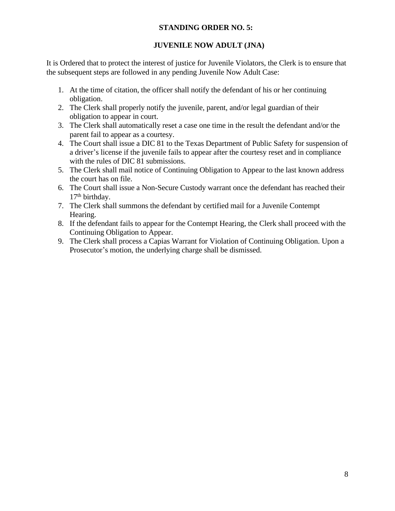## **STANDING ORDER NO. 5:**

## **JUVENILE NOW ADULT (JNA)**

It is Ordered that to protect the interest of justice for Juvenile Violators, the Clerk is to ensure that the subsequent steps are followed in any pending Juvenile Now Adult Case:

- 1. At the time of citation, the officer shall notify the defendant of his or her continuing obligation.
- 2. The Clerk shall properly notify the juvenile, parent, and/or legal guardian of their obligation to appear in court.
- 3. The Clerk shall automatically reset a case one time in the result the defendant and/or the parent fail to appear as a courtesy.
- 4. The Court shall issue a DIC 81 to the Texas Department of Public Safety for suspension of a driver's license if the juvenile fails to appear after the courtesy reset and in compliance with the rules of DIC 81 submissions.
- 5. The Clerk shall mail notice of Continuing Obligation to Appear to the last known address the court has on file.
- 6. The Court shall issue a Non-Secure Custody warrant once the defendant has reached their 17<sup>th</sup> birthday.
- 7. The Clerk shall summons the defendant by certified mail for a Juvenile Contempt Hearing.
- 8. If the defendant fails to appear for the Contempt Hearing, the Clerk shall proceed with the Continuing Obligation to Appear.
- 9. The Clerk shall process a Capias Warrant for Violation of Continuing Obligation. Upon a Prosecutor's motion, the underlying charge shall be dismissed.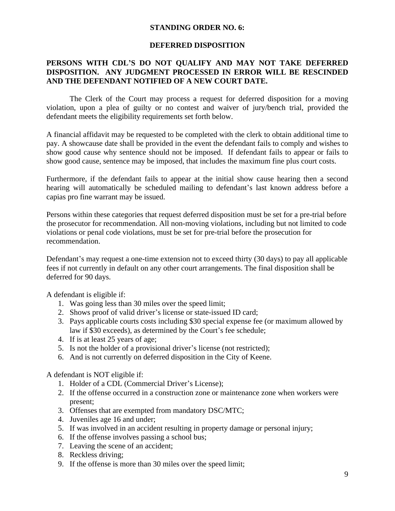#### **STANDING ORDER NO. 6:**

#### **DEFERRED DISPOSITION**

## **PERSONS WITH CDL'S DO NOT QUALIFY AND MAY NOT TAKE DEFERRED DISPOSITION. ANY JUDGMENT PROCESSED IN ERROR WILL BE RESCINDED AND THE DEFENDANT NOTIFIED OF A NEW COURT DATE.**

The Clerk of the Court may process a request for deferred disposition for a moving violation, upon a plea of guilty or no contest and waiver of jury/bench trial, provided the defendant meets the eligibility requirements set forth below.

A financial affidavit may be requested to be completed with the clerk to obtain additional time to pay. A showcause date shall be provided in the event the defendant fails to comply and wishes to show good cause why sentence should not be imposed. If defendant fails to appear or fails to show good cause, sentence may be imposed, that includes the maximum fine plus court costs.

Furthermore, if the defendant fails to appear at the initial show cause hearing then a second hearing will automatically be scheduled mailing to defendant's last known address before a capias pro fine warrant may be issued.

Persons within these categories that request deferred disposition must be set for a pre-trial before the prosecutor for recommendation. All non-moving violations, including but not limited to code violations or penal code violations, must be set for pre-trial before the prosecution for recommendation.

Defendant's may request a one-time extension not to exceed thirty (30 days) to pay all applicable fees if not currently in default on any other court arrangements. The final disposition shall be deferred for 90 days.

A defendant is eligible if:

- 1. Was going less than 30 miles over the speed limit;
- 2. Shows proof of valid driver's license or state-issued ID card;
- 3. Pays applicable courts costs including \$30 special expense fee (or maximum allowed by law if \$30 exceeds), as determined by the Court's fee schedule;
- 4. If is at least 25 years of age;
- 5. Is not the holder of a provisional driver's license (not restricted);
- 6. And is not currently on deferred disposition in the City of Keene.

A defendant is NOT eligible if:

- 1. Holder of a CDL (Commercial Driver's License);
- 2. If the offense occurred in a construction zone or maintenance zone when workers were present;
- 3. Offenses that are exempted from mandatory DSC/MTC;
- 4. Juveniles age 16 and under;
- 5. If was involved in an accident resulting in property damage or personal injury;
- 6. If the offense involves passing a school bus;
- 7. Leaving the scene of an accident;
- 8. Reckless driving;
- 9. If the offense is more than 30 miles over the speed limit;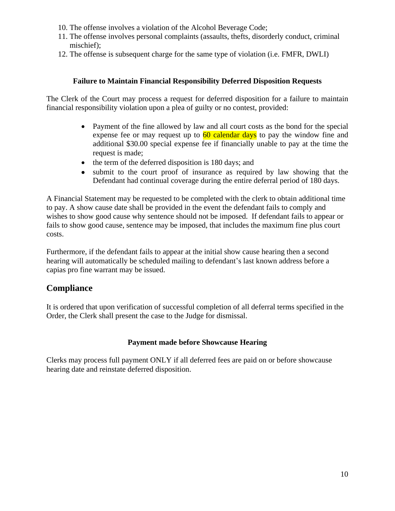- 10. The offense involves a violation of the Alcohol Beverage Code;
- 11. The offense involves personal complaints (assaults, thefts, disorderly conduct, criminal mischief);
- 12. The offense is subsequent charge for the same type of violation (i.e. FMFR, DWLI)

## **Failure to Maintain Financial Responsibility Deferred Disposition Requests**

The Clerk of the Court may process a request for deferred disposition for a failure to maintain financial responsibility violation upon a plea of guilty or no contest, provided:

- Payment of the fine allowed by law and all court costs as the bond for the special expense fee or may request up to  $\frac{60 \text{ calendar days}}{100 \text{ cap}}$  to pay the window fine and additional \$30.00 special expense fee if financially unable to pay at the time the request is made;
- $\bullet$  the term of the deferred disposition is 180 days; and
- submit to the court proof of insurance as required by law showing that the Defendant had continual coverage during the entire deferral period of 180 days.

A Financial Statement may be requested to be completed with the clerk to obtain additional time to pay. A show cause date shall be provided in the event the defendant fails to comply and wishes to show good cause why sentence should not be imposed. If defendant fails to appear or fails to show good cause, sentence may be imposed, that includes the maximum fine plus court costs.

Furthermore, if the defendant fails to appear at the initial show cause hearing then a second hearing will automatically be scheduled mailing to defendant's last known address before a capias pro fine warrant may be issued.

## **Compliance**

It is ordered that upon verification of successful completion of all deferral terms specified in the Order, the Clerk shall present the case to the Judge for dismissal.

## **Payment made before Showcause Hearing**

Clerks may process full payment ONLY if all deferred fees are paid on or before showcause hearing date and reinstate deferred disposition.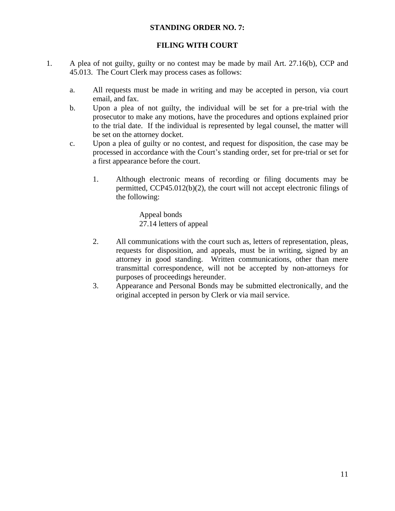#### **STANDING ORDER NO. 7:**

## **FILING WITH COURT**

- 1. A plea of not guilty, guilty or no contest may be made by mail Art. 27.16(b), CCP and 45.013. The Court Clerk may process cases as follows:
	- a. All requests must be made in writing and may be accepted in person, via court email, and fax.
	- b. Upon a plea of not guilty, the individual will be set for a pre-trial with the prosecutor to make any motions, have the procedures and options explained prior to the trial date. If the individual is represented by legal counsel, the matter will be set on the attorney docket.
	- c. Upon a plea of guilty or no contest, and request for disposition, the case may be processed in accordance with the Court's standing order, set for pre-trial or set for a first appearance before the court.
		- 1. Although electronic means of recording or filing documents may be permitted, CCP45.012(b)(2), the court will not accept electronic filings of the following:

Appeal bonds 27.14 letters of appeal

- 2. All communications with the court such as, letters of representation, pleas, requests for disposition, and appeals, must be in writing, signed by an attorney in good standing. Written communications, other than mere transmittal correspondence, will not be accepted by non-attorneys for purposes of proceedings hereunder.
- 3. Appearance and Personal Bonds may be submitted electronically, and the original accepted in person by Clerk or via mail service.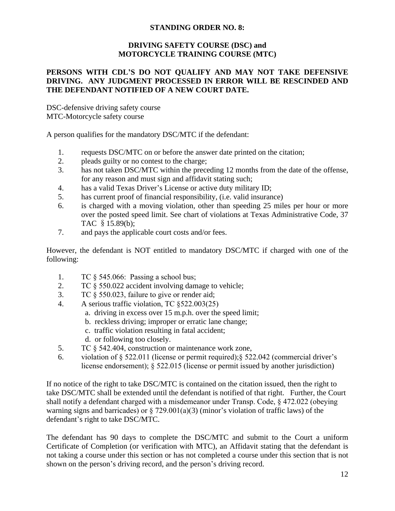## **STANDING ORDER NO. 8:**

## **DRIVING SAFETY COURSE (DSC) and MOTORCYCLE TRAINING COURSE (MTC)**

## **PERSONS WITH CDL'S DO NOT QUALIFY AND MAY NOT TAKE DEFENSIVE DRIVING. ANY JUDGMENT PROCESSED IN ERROR WILL BE RESCINDED AND THE DEFENDANT NOTIFIED OF A NEW COURT DATE.**

DSC-defensive driving safety course MTC-Motorcycle safety course

A person qualifies for the mandatory DSC/MTC if the defendant:

- 1. requests DSC/MTC on or before the answer date printed on the citation;
- 2. pleads guilty or no contest to the charge;
- 3. has not taken DSC/MTC within the preceding 12 months from the date of the offense, for any reason and must sign and affidavit stating such;
- 4. has a valid Texas Driver's License or active duty military ID;
- 5. has current proof of financial responsibility, (i.e. valid insurance)
- 6. is charged with a moving violation, other than speeding 25 miles per hour or more over the posted speed limit. See chart of violations at Texas Administrative Code, 37 TAC §15.89(b);
- 7. and pays the applicable court costs and/or fees.

However, the defendant is NOT entitled to mandatory DSC/MTC if charged with one of the following:

- 1. TC § 545.066: Passing a school bus;
- 2. TC § 550.022 accident involving damage to vehicle;
- 3. TC § 550.023, failure to give or render aid;
- 4. A serious traffic violation, TC §522.003(25)
	- a. driving in excess over 15 m.p.h. over the speed limit;
	- b. reckless driving; improper or erratic lane change;
	- c. traffic violation resulting in fatal accident;
	- d. or following too closely.
- 5. TC § 542.404, construction or maintenance work zone,
- 6. violation of § 522.011 (license or permit required);§ 522.042 (commercial driver's license endorsement); § 522.015 (license or permit issued by another jurisdiction)

If no notice of the right to take DSC/MTC is contained on the citation issued, then the right to take DSC/MTC shall be extended until the defendant is notified of that right. Further, the Court shall notify a defendant charged with a misdemeanor under Transp. Code, § 472.022 (obeying warning signs and barricades) or  $\S 729.001(a)(3)$  (minor's violation of traffic laws) of the defendant's right to take DSC/MTC.

The defendant has 90 days to complete the DSC/MTC and submit to the Court a uniform Certificate of Completion (or verification with MTC), an Affidavit stating that the defendant is not taking a course under this section or has not completed a course under this section that is not shown on the person's driving record, and the person's driving record.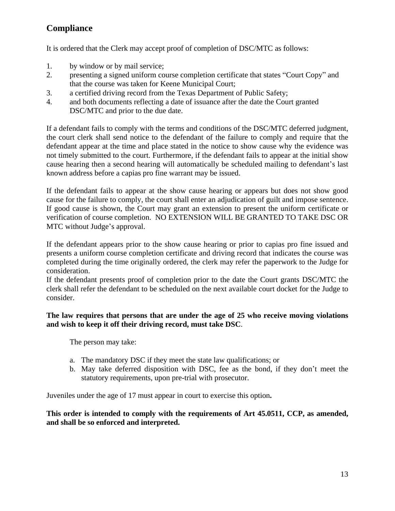## **Compliance**

It is ordered that the Clerk may accept proof of completion of DSC/MTC as follows:

- 1. by window or by mail service;
- 2. presenting a signed uniform course completion certificate that states "Court Copy" and that the course was taken for Keene Municipal Court;
- 3. a certified driving record from the Texas Department of Public Safety;
- 4. and both documents reflecting a date of issuance after the date the Court granted DSC/MTC and prior to the due date.

If a defendant fails to comply with the terms and conditions of the DSC/MTC deferred judgment, the court clerk shall send notice to the defendant of the failure to comply and require that the defendant appear at the time and place stated in the notice to show cause why the evidence was not timely submitted to the court. Furthermore, if the defendant fails to appear at the initial show cause hearing then a second hearing will automatically be scheduled mailing to defendant's last known address before a capias pro fine warrant may be issued.

If the defendant fails to appear at the show cause hearing or appears but does not show good cause for the failure to comply, the court shall enter an adjudication of guilt and impose sentence. If good cause is shown, the Court may grant an extension to present the uniform certificate or verification of course completion. NO EXTENSION WILL BE GRANTED TO TAKE DSC OR MTC without Judge's approval.

If the defendant appears prior to the show cause hearing or prior to capias pro fine issued and presents a uniform course completion certificate and driving record that indicates the course was completed during the time originally ordered, the clerk may refer the paperwork to the Judge for consideration.

If the defendant presents proof of completion prior to the date the Court grants DSC/MTC the clerk shall refer the defendant to be scheduled on the next available court docket for the Judge to consider.

## **The law requires that persons that are under the age of 25 who receive moving violations and wish to keep it off their driving record, must take DSC**.

The person may take:

- a. The mandatory DSC if they meet the state law qualifications; or
- b. May take deferred disposition with DSC, fee as the bond, if they don't meet the statutory requirements, upon pre-trial with prosecutor.

Juveniles under the age of 17 must appear in court to exercise this option**.**

## **This order is intended to comply with the requirements of Art 45.0511, CCP, as amended, and shall be so enforced and interpreted.**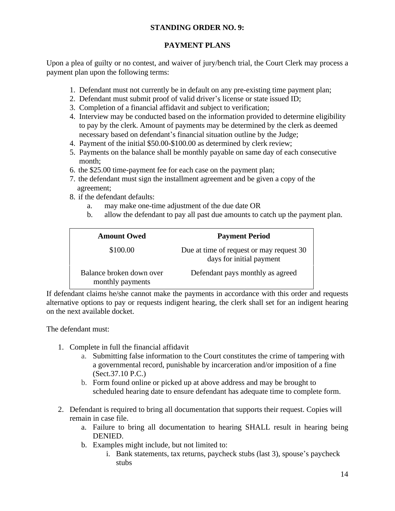## **STANDING ORDER NO. 9:**

## **PAYMENT PLANS**

Upon a plea of guilty or no contest, and waiver of jury/bench trial, the Court Clerk may process a payment plan upon the following terms:

- 1. Defendant must not currently be in default on any pre-existing time payment plan;
- 2. Defendant must submit proof of valid driver's license or state issued ID;
- 3. Completion of a financial affidavit and subject to verification;
- 4. Interview may be conducted based on the information provided to determine eligibility to pay by the clerk. Amount of payments may be determined by the clerk as deemed necessary based on defendant's financial situation outline by the Judge;
- 4. Payment of the initial \$50.00-\$100.00 as determined by clerk review;
- 5. Payments on the balance shall be monthly payable on same day of each consecutive month;
- 6. the \$25.00 time-payment fee for each case on the payment plan;
- 7. the defendant must sign the installment agreement and be given a copy of the agreement;
- 8. if the defendant defaults:
	- a. may make one-time adjustment of the due date OR
	- b. allow the defendant to pay all past due amounts to catch up the payment plan.

| <b>Amount Owed</b>                           | <b>Payment Period</b>                                                |
|----------------------------------------------|----------------------------------------------------------------------|
| \$100.00                                     | Due at time of request or may request 30<br>days for initial payment |
| Balance broken down over<br>monthly payments | Defendant pays monthly as agreed                                     |

If defendant claims he/she cannot make the payments in accordance with this order and requests alternative options to pay or requests indigent hearing, the clerk shall set for an indigent hearing on the next available docket.

The defendant must:

- 1. Complete in full the financial affidavit
	- a. Submitting false information to the Court constitutes the crime of tampering with a governmental record, punishable by incarceration and/or imposition of a fine (Sect.37.10 P.C.)
	- b. Form found online or picked up at above address and may be brought to scheduled hearing date to ensure defendant has adequate time to complete form.
- 2. Defendant is required to bring all documentation that supports their request. Copies will remain in case file.
	- a. Failure to bring all documentation to hearing SHALL result in hearing being DENIED.
	- b. Examples might include, but not limited to:
		- i. Bank statements, tax returns, paycheck stubs (last 3), spouse's paycheck stubs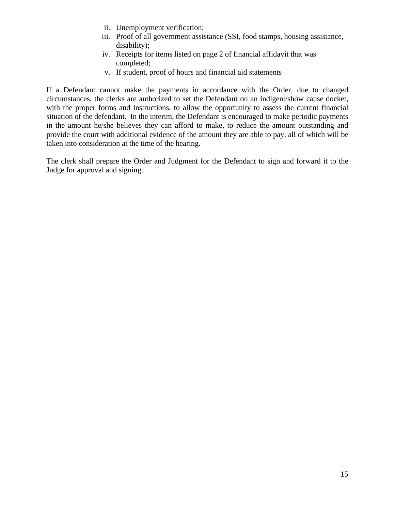- ii. Unemployment verification;
- iii. Proof of all government assistance (SSI, food stamps, housing assistance, disability);
- iv. Receipts for items listed on page 2 of financial affidavit that was completed;
- v. If student, proof of hours and financial aid statements

If a Defendant cannot make the payments in accordance with the Order, due to changed circumstances, the clerks are authorized to set the Defendant on an indigent/show cause docket, with the proper forms and instructions, to allow the opportunity to assess the current financial situation of the defendant. In the interim, the Defendant is encouraged to make periodic payments in the amount he/she believes they can afford to make, to reduce the amount outstanding and provide the court with additional evidence of the amount they are able to pay, all of which will be taken into consideration at the time of the hearing.

The clerk shall prepare the Order and Judgment for the Defendant to sign and forward it to the Judge for approval and signing.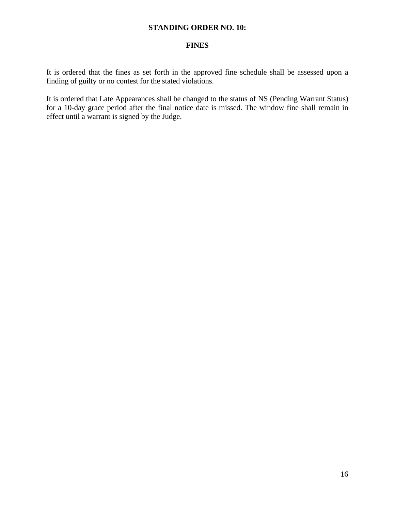#### **STANDING ORDER NO. 10:**

#### **FINES**

It is ordered that the fines as set forth in the approved fine schedule shall be assessed upon a finding of guilty or no contest for the stated violations.

It is ordered that Late Appearances shall be changed to the status of NS (Pending Warrant Status) for a 10-day grace period after the final notice date is missed. The window fine shall remain in effect until a warrant is signed by the Judge.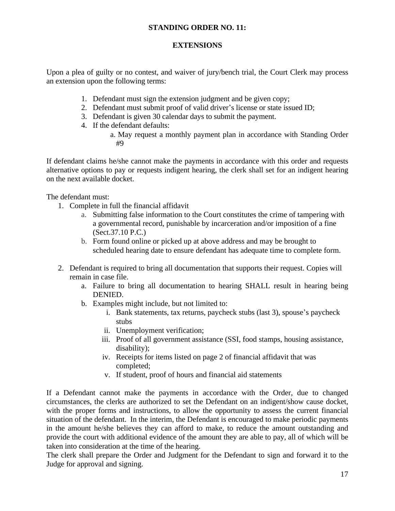## **STANDING ORDER NO. 11:**

#### **EXTENSIONS**

Upon a plea of guilty or no contest, and waiver of jury/bench trial, the Court Clerk may process an extension upon the following terms:

- 1. Defendant must sign the extension judgment and be given copy;
- 2. Defendant must submit proof of valid driver's license or state issued ID;
- 3. Defendant is given 30 calendar days to submit the payment.
- 4. If the defendant defaults:
	- a. May request a monthly payment plan in accordance with Standing Order #9

If defendant claims he/she cannot make the payments in accordance with this order and requests alternative options to pay or requests indigent hearing, the clerk shall set for an indigent hearing on the next available docket.

The defendant must:

- 1. Complete in full the financial affidavit
	- a. Submitting false information to the Court constitutes the crime of tampering with a governmental record, punishable by incarceration and/or imposition of a fine (Sect.37.10 P.C.)
	- b. Form found online or picked up at above address and may be brought to scheduled hearing date to ensure defendant has adequate time to complete form.
- 2. Defendant is required to bring all documentation that supports their request. Copies will remain in case file.
	- a. Failure to bring all documentation to hearing SHALL result in hearing being DENIED.
	- b. Examples might include, but not limited to:
		- i. Bank statements, tax returns, paycheck stubs (last 3), spouse's paycheck stubs
		- ii. Unemployment verification;
		- iii. Proof of all government assistance (SSI, food stamps, housing assistance, disability);
		- iv. Receipts for items listed on page 2 of financial affidavit that was completed;
		- v. If student, proof of hours and financial aid statements

If a Defendant cannot make the payments in accordance with the Order, due to changed circumstances, the clerks are authorized to set the Defendant on an indigent/show cause docket, with the proper forms and instructions, to allow the opportunity to assess the current financial situation of the defendant. In the interim, the Defendant is encouraged to make periodic payments in the amount he/she believes they can afford to make, to reduce the amount outstanding and provide the court with additional evidence of the amount they are able to pay, all of which will be taken into consideration at the time of the hearing.

The clerk shall prepare the Order and Judgment for the Defendant to sign and forward it to the Judge for approval and signing.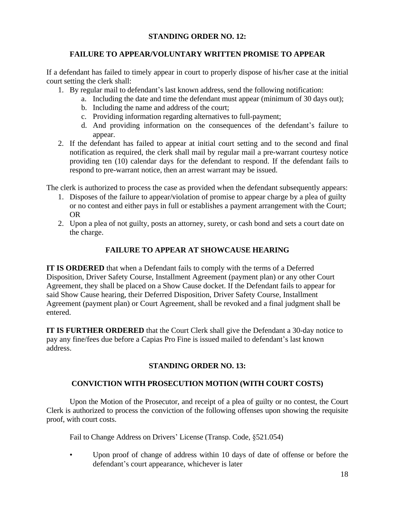## **STANDING ORDER NO. 12:**

## **FAILURE TO APPEAR/VOLUNTARY WRITTEN PROMISE TO APPEAR**

If a defendant has failed to timely appear in court to properly dispose of his/her case at the initial court setting the clerk shall:

- 1. By regular mail to defendant's last known address, send the following notification:
	- a. Including the date and time the defendant must appear (minimum of 30 days out);
	- b. Including the name and address of the court;
	- c. Providing information regarding alternatives to full-payment;
	- d. And providing information on the consequences of the defendant's failure to appear.
- 2. If the defendant has failed to appear at initial court setting and to the second and final notification as required, the clerk shall mail by regular mail a pre-warrant courtesy notice providing ten (10) calendar days for the defendant to respond. If the defendant fails to respond to pre-warrant notice, then an arrest warrant may be issued.

The clerk is authorized to process the case as provided when the defendant subsequently appears:

- 1. Disposes of the failure to appear/violation of promise to appear charge by a plea of guilty or no contest and either pays in full or establishes a payment arrangement with the Court; OR
- 2. Upon a plea of not guilty, posts an attorney, surety, or cash bond and sets a court date on the charge.

## **FAILURE TO APPEAR AT SHOWCAUSE HEARING**

**IT IS ORDERED** that when a Defendant fails to comply with the terms of a Deferred Disposition, Driver Safety Course, Installment Agreement (payment plan) or any other Court Agreement, they shall be placed on a Show Cause docket. If the Defendant fails to appear for said Show Cause hearing, their Deferred Disposition, Driver Safety Course, Installment Agreement (payment plan) or Court Agreement, shall be revoked and a final judgment shall be entered.

**IT IS FURTHER ORDERED** that the Court Clerk shall give the Defendant a 30-day notice to pay any fine/fees due before a Capias Pro Fine is issued mailed to defendant's last known address.

## **STANDING ORDER NO. 13:**

## **CONVICTION WITH PROSECUTION MOTION (WITH COURT COSTS)**

Upon the Motion of the Prosecutor, and receipt of a plea of guilty or no contest, the Court Clerk is authorized to process the conviction of the following offenses upon showing the requisite proof, with court costs.

Fail to Change Address on Drivers' License (Transp. Code, §521.054)

Upon proof of change of address within 10 days of date of offense or before the defendant's court appearance, whichever is later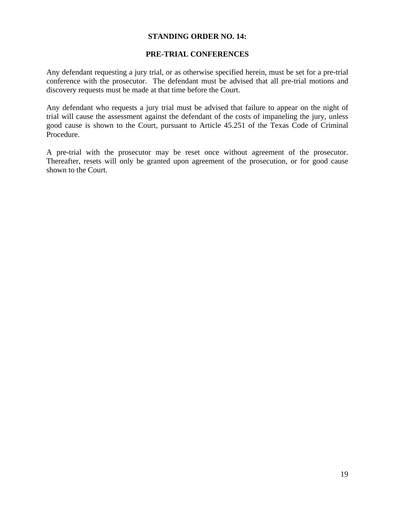#### **STANDING ORDER NO. 14:**

#### **PRE-TRIAL CONFERENCES**

Any defendant requesting a jury trial, or as otherwise specified herein, must be set for a pre-trial conference with the prosecutor. The defendant must be advised that all pre-trial motions and discovery requests must be made at that time before the Court.

Any defendant who requests a jury trial must be advised that failure to appear on the night of trial will cause the assessment against the defendant of the costs of impaneling the jury, unless good cause is shown to the Court, pursuant to Article 45.251 of the Texas Code of Criminal Procedure.

A pre-trial with the prosecutor may be reset once without agreement of the prosecutor. Thereafter, resets will only be granted upon agreement of the prosecution, or for good cause shown to the Court.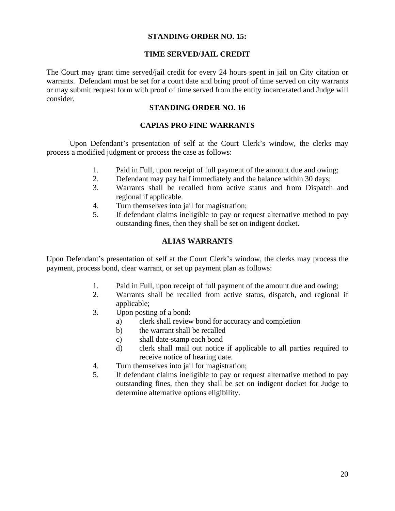#### **STANDING ORDER NO. 15:**

#### **TIME SERVED/JAIL CREDIT**

The Court may grant time served/jail credit for every 24 hours spent in jail on City citation or warrants. Defendant must be set for a court date and bring proof of time served on city warrants or may submit request form with proof of time served from the entity incarcerated and Judge will consider.

#### **STANDING ORDER NO. 16**

## **CAPIAS PRO FINE WARRANTS**

Upon Defendant's presentation of self at the Court Clerk's window, the clerks may process a modified judgment or process the case as follows:

- 1. Paid in Full, upon receipt of full payment of the amount due and owing;
- 2. Defendant may pay half immediately and the balance within 30 days;
- 3. Warrants shall be recalled from active status and from Dispatch and regional if applicable.
- 4. Turn themselves into jail for magistration;
- 5. If defendant claims ineligible to pay or request alternative method to pay outstanding fines, then they shall be set on indigent docket.

## **ALIAS WARRANTS**

Upon Defendant's presentation of self at the Court Clerk's window, the clerks may process the payment, process bond, clear warrant, or set up payment plan as follows:

- 1. Paid in Full, upon receipt of full payment of the amount due and owing;
- 2. Warrants shall be recalled from active status, dispatch, and regional if applicable;
- 3. Upon posting of a bond:
	- a) clerk shall review bond for accuracy and completion
	- b) the warrant shall be recalled
	- c) shall date-stamp each bond
	- d) clerk shall mail out notice if applicable to all parties required to receive notice of hearing date.
- 4. Turn themselves into jail for magistration;
- 5. If defendant claims ineligible to pay or request alternative method to pay outstanding fines, then they shall be set on indigent docket for Judge to determine alternative options eligibility.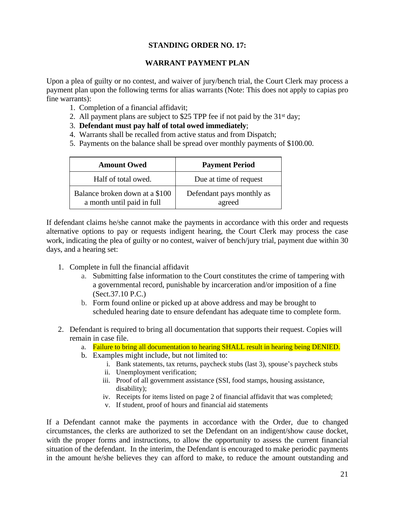## **STANDING ORDER NO. 17:**

## **WARRANT PAYMENT PLAN**

Upon a plea of guilty or no contest, and waiver of jury/bench trial, the Court Clerk may process a payment plan upon the following terms for alias warrants (Note: This does not apply to capias pro fine warrants):

- 1. Completion of a financial affidavit;
- 2. All payment plans are subject to \$25 TPP fee if not paid by the 31<sup>st</sup> day;
- 3. **Defendant must pay half of total owed immediately**;
- 4. Warrants shall be recalled from active status and from Dispatch;
- 5. Payments on the balance shall be spread over monthly payments of \$100.00.

| <b>Amount Owed</b>                                           | <b>Payment Period</b>               |
|--------------------------------------------------------------|-------------------------------------|
| Half of total owed.                                          | Due at time of request              |
| Balance broken down at a \$100<br>a month until paid in full | Defendant pays monthly as<br>agreed |

If defendant claims he/she cannot make the payments in accordance with this order and requests alternative options to pay or requests indigent hearing, the Court Clerk may process the case work, indicating the plea of guilty or no contest, waiver of bench/jury trial, payment due within 30 days, and a hearing set:

- 1. Complete in full the financial affidavit
	- a. Submitting false information to the Court constitutes the crime of tampering with a governmental record, punishable by incarceration and/or imposition of a fine (Sect.37.10 P.C.)
	- b. Form found online or picked up at above address and may be brought to scheduled hearing date to ensure defendant has adequate time to complete form.
- 2. Defendant is required to bring all documentation that supports their request. Copies will remain in case file.
	- a. Failure to bring all documentation to hearing SHALL result in hearing being DENIED.
	- b. Examples might include, but not limited to:
		- i. Bank statements, tax returns, paycheck stubs (last 3), spouse's paycheck stubs
		- ii. Unemployment verification;
		- iii. Proof of all government assistance (SSI, food stamps, housing assistance, disability);
		- iv. Receipts for items listed on page 2 of financial affidavit that was completed;
		- v. If student, proof of hours and financial aid statements

If a Defendant cannot make the payments in accordance with the Order, due to changed circumstances, the clerks are authorized to set the Defendant on an indigent/show cause docket, with the proper forms and instructions, to allow the opportunity to assess the current financial situation of the defendant. In the interim, the Defendant is encouraged to make periodic payments in the amount he/she believes they can afford to make, to reduce the amount outstanding and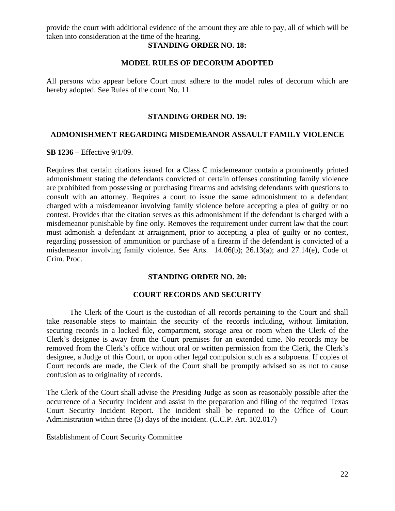provide the court with additional evidence of the amount they are able to pay, all of which will be taken into consideration at the time of the hearing.

#### **STANDING ORDER NO. 18:**

#### **MODEL RULES OF DECORUM ADOPTED**

All persons who appear before Court must adhere to the model rules of decorum which are hereby adopted. See Rules of the court No. 11.

#### **STANDING ORDER NO. 19:**

#### **ADMONISHMENT REGARDING MISDEMEANOR ASSAULT FAMILY VIOLENCE**

**SB 1236** – Effective 9/1/09.

Requires that certain citations issued for a Class C misdemeanor contain a prominently printed admonishment stating the defendants convicted of certain offenses constituting family violence are prohibited from possessing or purchasing firearms and advising defendants with questions to consult with an attorney. Requires a court to issue the same admonishment to a defendant charged with a misdemeanor involving family violence before accepting a plea of guilty or no contest. Provides that the citation serves as this admonishment if the defendant is charged with a misdemeanor punishable by fine only. Removes the requirement under current law that the court must admonish a defendant at arraignment, prior to accepting a plea of guilty or no contest, regarding possession of ammunition or purchase of a firearm if the defendant is convicted of a misdemeanor involving family violence. See Arts. 14.06(b); 26.13(a); and 27.14(e), Code of Crim. Proc.

#### **STANDING ORDER NO. 20:**

#### **COURT RECORDS AND SECURITY**

The Clerk of the Court is the custodian of all records pertaining to the Court and shall take reasonable steps to maintain the security of the records including, without limitation, securing records in a locked file, compartment, storage area or room when the Clerk of the Clerk's designee is away from the Court premises for an extended time. No records may be removed from the Clerk's office without oral or written permission from the Clerk, the Clerk's designee, a Judge of this Court, or upon other legal compulsion such as a subpoena. If copies of Court records are made, the Clerk of the Court shall be promptly advised so as not to cause confusion as to originality of records.

The Clerk of the Court shall advise the Presiding Judge as soon as reasonably possible after the occurrence of a Security Incident and assist in the preparation and filing of the required Texas Court Security Incident Report. The incident shall be reported to the Office of Court Administration within three (3) days of the incident. (C.C.P. Art. 102.017)

Establishment of Court Security Committee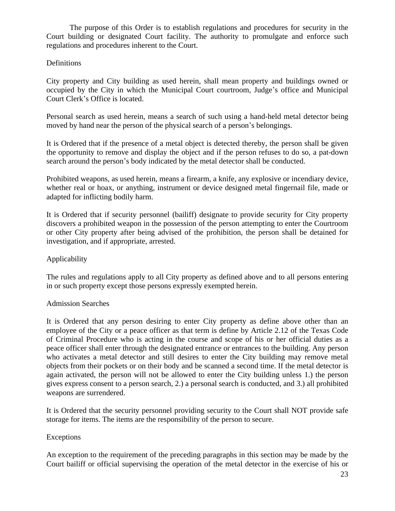The purpose of this Order is to establish regulations and procedures for security in the Court building or designated Court facility. The authority to promulgate and enforce such regulations and procedures inherent to the Court.

## Definitions

City property and City building as used herein, shall mean property and buildings owned or occupied by the City in which the Municipal Court courtroom, Judge's office and Municipal Court Clerk's Office is located.

Personal search as used herein, means a search of such using a hand-held metal detector being moved by hand near the person of the physical search of a person's belongings.

It is Ordered that if the presence of a metal object is detected thereby, the person shall be given the opportunity to remove and display the object and if the person refuses to do so, a pat-down search around the person's body indicated by the metal detector shall be conducted.

Prohibited weapons, as used herein, means a firearm, a knife, any explosive or incendiary device, whether real or hoax, or anything, instrument or device designed metal fingernail file, made or adapted for inflicting bodily harm.

It is Ordered that if security personnel (bailiff) designate to provide security for City property discovers a prohibited weapon in the possession of the person attempting to enter the Courtroom or other City property after being advised of the prohibition, the person shall be detained for investigation, and if appropriate, arrested.

## Applicability

The rules and regulations apply to all City property as defined above and to all persons entering in or such property except those persons expressly exempted herein.

## Admission Searches

It is Ordered that any person desiring to enter City property as define above other than an employee of the City or a peace officer as that term is define by Article 2.12 of the Texas Code of Criminal Procedure who is acting in the course and scope of his or her official duties as a peace officer shall enter through the designated entrance or entrances to the building. Any person who activates a metal detector and still desires to enter the City building may remove metal objects from their pockets or on their body and be scanned a second time. If the metal detector is again activated, the person will not be allowed to enter the City building unless 1.) the person gives express consent to a person search, 2.) a personal search is conducted, and 3.) all prohibited weapons are surrendered.

It is Ordered that the security personnel providing security to the Court shall NOT provide safe storage for items. The items are the responsibility of the person to secure.

## Exceptions

An exception to the requirement of the preceding paragraphs in this section may be made by the Court bailiff or official supervising the operation of the metal detector in the exercise of his or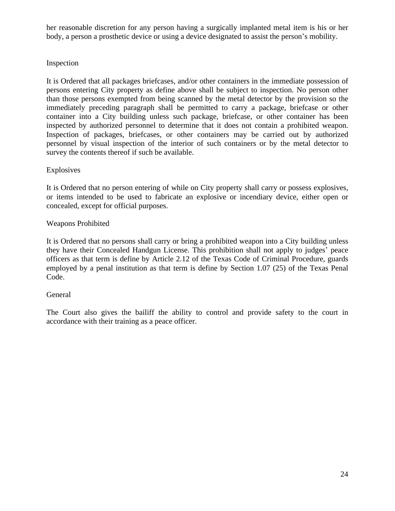her reasonable discretion for any person having a surgically implanted metal item is his or her body, a person a prosthetic device or using a device designated to assist the person's mobility.

## Inspection

It is Ordered that all packages briefcases, and/or other containers in the immediate possession of persons entering City property as define above shall be subject to inspection. No person other than those persons exempted from being scanned by the metal detector by the provision so the immediately preceding paragraph shall be permitted to carry a package, briefcase or other container into a City building unless such package, briefcase, or other container has been inspected by authorized personnel to determine that it does not contain a prohibited weapon. Inspection of packages, briefcases, or other containers may be carried out by authorized personnel by visual inspection of the interior of such containers or by the metal detector to survey the contents thereof if such be available.

## **Explosives**

It is Ordered that no person entering of while on City property shall carry or possess explosives, or items intended to be used to fabricate an explosive or incendiary device, either open or concealed, except for official purposes.

## Weapons Prohibited

It is Ordered that no persons shall carry or bring a prohibited weapon into a City building unless they have their Concealed Handgun License. This prohibition shall not apply to judges' peace officers as that term is define by Article 2.12 of the Texas Code of Criminal Procedure, guards employed by a penal institution as that term is define by Section 1.07 (25) of the Texas Penal Code.

#### General

The Court also gives the bailiff the ability to control and provide safety to the court in accordance with their training as a peace officer.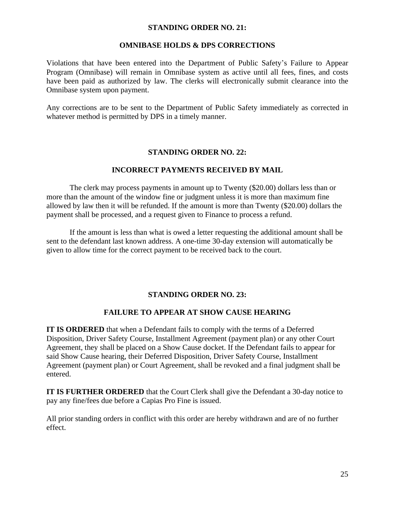#### **STANDING ORDER NO. 21:**

#### **OMNIBASE HOLDS & DPS CORRECTIONS**

Violations that have been entered into the Department of Public Safety's Failure to Appear Program (Omnibase) will remain in Omnibase system as active until all fees, fines, and costs have been paid as authorized by law. The clerks will electronically submit clearance into the Omnibase system upon payment.

Any corrections are to be sent to the Department of Public Safety immediately as corrected in whatever method is permitted by DPS in a timely manner.

## **STANDING ORDER NO. 22:**

## **INCORRECT PAYMENTS RECEIVED BY MAIL**

The clerk may process payments in amount up to Twenty (\$20.00) dollars less than or more than the amount of the window fine or judgment unless it is more than maximum fine allowed by law then it will be refunded. If the amount is more than Twenty (\$20.00) dollars the payment shall be processed, and a request given to Finance to process a refund.

If the amount is less than what is owed a letter requesting the additional amount shall be sent to the defendant last known address. A one-time 30-day extension will automatically be given to allow time for the correct payment to be received back to the court.

## **STANDING ORDER NO. 23:**

## **FAILURE TO APPEAR AT SHOW CAUSE HEARING**

**IT IS ORDERED** that when a Defendant fails to comply with the terms of a Deferred Disposition, Driver Safety Course, Installment Agreement (payment plan) or any other Court Agreement, they shall be placed on a Show Cause docket. If the Defendant fails to appear for said Show Cause hearing, their Deferred Disposition, Driver Safety Course, Installment Agreement (payment plan) or Court Agreement, shall be revoked and a final judgment shall be entered.

**IT IS FURTHER ORDERED** that the Court Clerk shall give the Defendant a 30-day notice to pay any fine/fees due before a Capias Pro Fine is issued.

All prior standing orders in conflict with this order are hereby withdrawn and are of no further effect.